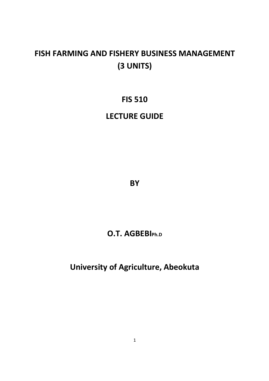# **FISH FARMING AND FISHERY BUSINESS MANAGEMENT (3 UNITS)**

# **FIS 510**

# **LECTURE GUIDE**

**BY** 

# **O.T. AGBEBIPh.D**

**University of Agriculture, Abeokuta**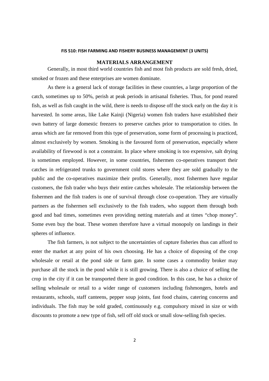#### **FIS 510: FISH FARMING AND FISHERY BUSINESS MANAGEMENT (3 UNITS)**

### **MATERIALS ARRANGEMENT**

Generally, in most third world countries fish and most fish products are sold fresh, dried, smoked or frozen and these enterprises are women dominate.

 As there is a general lack of storage facilities in these countries, a large proportion of the catch, sometimes up to 50%, perish at peak periods in artisanal fisheries. Thus, for pond reared fish, as well as fish caught in the wild, there is needs to dispose off the stock early on the day it is harvested. In some areas, like Lake Kainji (Nigeria) women fish traders have established their own battery of large domestic freezers to preserve catches prior to transportation to cities. In areas which are far removed from this type of preservation, some form of processing is practiced, almost exclusively by women. Smoking is the favoured form of preservation, especially where availability of firewood is not a constraint. In place where smoking is too expensive, salt drying is sometimes employed. However, in some countries, fishermen co-operatives transport their catches in refrigerated trunks to government cold stores where they are sold gradually to the public and the co-operatives maximize their profits. Generally, most fishermen have regular customers, the fish trader who buys their entire catches wholesale. The relationship between the fishermen and the fish traders is one of survival through close co-operation. They are virtually partners as the fishermen sell exclusively to the fish traders, who support them through both good and bad times, sometimes even providing netting materials and at times "chop money". Some even buy the boat. These women therefore have a virtual monopoly on landings in their spheres of influence.

 The fish farmers, is not subject to the uncertainties of capture fisheries thus can afford to enter the market at any point of his own choosing. He has a choice of disposing of the crop wholesale or retail at the pond side or farm gate. In some cases a commodity broker may purchase all the stock in the pond while it is still growing. There is also a choice of selling the crop in the city if it can be transported there in good condition. In this case, he has a choice of selling wholesale or retail to a wider range of customers including fishmongers, hotels and restaurants, schools, staff canteens, pepper soup joints, fast food chains, catering concerns and individuals. The fish may be sold graded, continuously e.g. compulsory mixed in size or with discounts to promote a new type of fish, sell off old stock or small slow-selling fish species.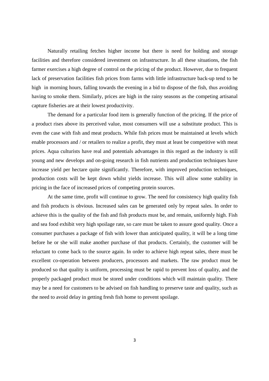Naturally retailing fetches higher income but there is need for holding and storage facilities and therefore considered investment on infrastructure. In all these situations, the fish farmer exercises a high degree of control on the pricing of the product. However, due to frequent lack of preservation facilities fish prices from farms with little infrastructure back-up tend to be high in morning hours, falling towards the evening in a bid to dispose of the fish, thus avoiding having to smoke them. Similarly, prices are high in the rainy seasons as the competing artisanal capture fisheries are at their lowest productivity.

 The demand for a particular food item is generally function of the pricing. If the price of a product rises above its perceived value, most consumers will use a substitute product. This is even the case with fish and meat products. While fish prices must be maintained at levels which enable processors and / or retailers to realize a profit, they must at least be competitive with meat prices. Aqua culturists have real and potentials advantages in this regard as the industry is still young and new develops and on-going research in fish nutrients and production techniques have increase yield per hectare quite significantly. Therefore, with improved production techniques, production costs will be kept down whilst yields increase. This will allow some stability in pricing in the face of increased prices of competing protein sources.

At the same time, profit will continue to grow. The need for consistency high quality fish and fish products is obvious. Increased sales can be generated only by repeat sales. In order to achieve this is the quality of the fish and fish products must be, and remain, uniformly high. Fish and sea food exhibit very high spoilage rate, so care must be taken to assure good quality. Once a consumer purchases a package of fish with lower than anticipated quality, it will be a long time before he or she will make another purchase of that products. Certainly, the customer will be reluctant to come back to the source again. In order to achieve high repeat sales, there must be excellent co-operation between producers, processors and markets. The raw product must be produced so that quality is uniform, processing must be rapid to prevent loss of quality, and the properly packaged product must be stored under conditions which will maintain quality. There may be a need for customers to be advised on fish handling to preserve taste and quality, such as the need to avoid delay in getting fresh fish home to prevent spoilage.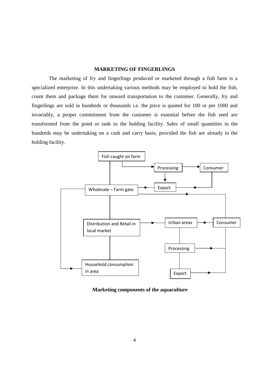## **MARKETING OF FINGERLINGS**

 The marketing of fry and fingerlings produced or marketed through a fish farm is a specialized enterprise. In this undertaking various methods may be employed to hold the fish, count them and package them for onward transportation to the customer. Generally, fry and fingerlings are sold in hundreds or thousands i.e. the price is quoted for 100 or per 1000 and invariably, a proper commitment from the customer is essential before the fish seed are transformed from the pond or tank to the holding facility. Sales of small quantities in the hundreds may be undertaking on a cash and carry basis, provided the fish are already in the holding facility.



**Marketing components of the aquaculture**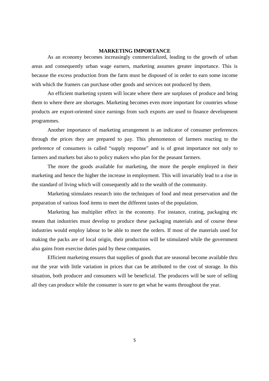#### **MARKETING IMPORTANCE**

 As an economy becomes increasingly commercialized, leading to the growth of urban areas and consequently urban wage earners, marketing assumes greater importance. This is because the excess production from the farm must be disposed of in order to earn some income with which the framers can purchase other goods and services not produced by them.

 An efficient marketing system will locate where there are surpluses of produce and bring them to where there are shortages. Marketing becomes even more important for countries whose products are export-oriented since earnings from such exports are used to finance development programmes.

 Another importance of marketing arrangement is an indicator of consumer preferences through the prices they are prepared to pay. This phenomenon of farmers reacting to the preference of consumers is called "supply response" and is of great importance not only to farmers and markets but also to policy makers who plan for the peasant farmers.

The more the goods available for marketing, the more the people employed in their marketing and hence the higher the increase in employment. This will invariably lead to a rise in the standard of living which will consequently add to the wealth of the community.

Marketing stimulates research into the techniques of food and meat preservation and the preparation of various food items to meet the different tastes of the population.

Marketing has multiplier effect in the economy. For instance, crating, packaging etc means that industries must develop to produce these packaging materials and of course these industries would employ labour to be able to meet the orders. If most of the materials used for making the packs are of local origin, their production will be stimulated while the government also gains from exercise duties paid by these companies.

Efficient marketing ensures that supplies of goods that are seasonal become available thru out the year with little variation in prices that can be attributed to the cost of storage. In this situation, both producer and consumers will be beneficial. The producers will be sure of selling all they can produce while the consumer is sure to get what he wants throughout the year.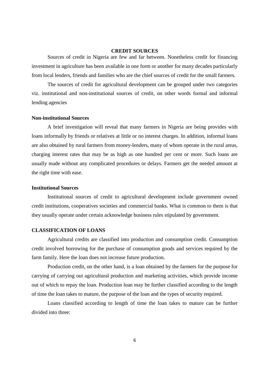#### **CREDIT SOURCES**

 Sources of credit in Nigeria are few and far between. Nonetheless credit for financing investment in agriculture has been available in one form or another for many decades particularly from local lenders, friends and families who are the chief sources of credit for the small farmers.

 The sources of credit for agricultural development can be grouped under two categories viz. institutional and non-institutional sources of credit, on other words formal and informal lending agencies

#### **Non-institutional Sources**

A brief investigation will reveal that many farmers in Nigeria are being provides with loans informally by friends or relatives at little or no interest charges. In addition, informal loans are also obtained by rural farmers from money-lenders, many of whom operate in the rural areas, charging interest rates that may be as high as one hundred per cent or more. Such loans are usually made without any complicated procedures or delays. Farmers get the needed amount at the right time with ease.

## **Institutional Sources**

Institutional sources of credit to agricultural development include government owned credit institutions, cooperatives societies and commercial banks. What is common to them is that they usually operate under certain acknowledge business rules stipulated by government.

### **CLASSIFICATION OF LOANS**

Agricultural credits are classified into production and consumption credit. Consumption credit involved borrowing for the purchase of consumption goods and services required by the farm family. Here the loan does not increase future production.

 Production credit, on the other hand, is a loan obtained by the farmers for the purpose for carrying of carrying out agricultural production and marketing activities, which provide income out of which to repay the loan. Production loan may be further classified according to the length of time the loan takes to mature, the purpose of the loan and the types of security required.

 Loans classified according to length of time the loan takes to mature can be further divided into three: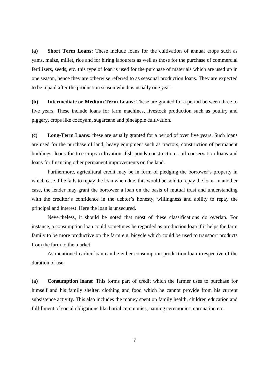**(a) Short Term Loans:** These include loans for the cultivation of annual crops such as yams, maize, millet, rice and for hiring labourers as well as those for the purchase of commercial fertilizers, seeds, etc. this type of loan is used for the purchase of materials which are used up in one season, hence they are otherwise referred to as seasonal production loans. They are expected to be repaid after **t**he production season which is usually one year.

**(b) Intermediate or Medium Term Loans:** These are granted for a period between three to five years. These include loans for farm machines, livestock production such as poultry and piggery, crops like cocoyam**,** sugarcane and pineapple cultivation.

**(c) Long-Term Loans:** these are usually granted for a period of over five years. Such loans are used for the purchase of land, heavy equipment such as tractors, construction of permanent buildings, loans for tree-crops cultivation, fish ponds construction, soil conservation loans and loans for financing other permanent improvements on the land.

 Furthermore, agricultural credit may be in form of pledging the borrower's property in which case if he fails to repay the loan when due, this would be sold to repay the loan. In another case, the lender may grant the borrower a loan on the basis of mutual trust and understanding with the creditor's confidence in the debtor's honesty, willingness and ability to repay the principal and interest. Here the loan is unsecured.

 Nevertheless, it should be noted that most of these classifications do overlap. For instance, a consumption loan could sometimes be regarded as production loan if it helps the farm family to be more productive on the farm e.g. bicycle which could be used to transport products from the farm to the market.

 As mentioned earlier loan can be either consumption production loan irrespective of the duration of use.

**(a) Consumption loans:** This forms part of credit which the farmer uses to purchase for himself and his family shelter, clothing and food which he cannot provide from his current subsistence activity. This also includes the money spent on family health, children education and fulfillment of social obligations like burial ceremonies, naming ceremonies, coronation etc.